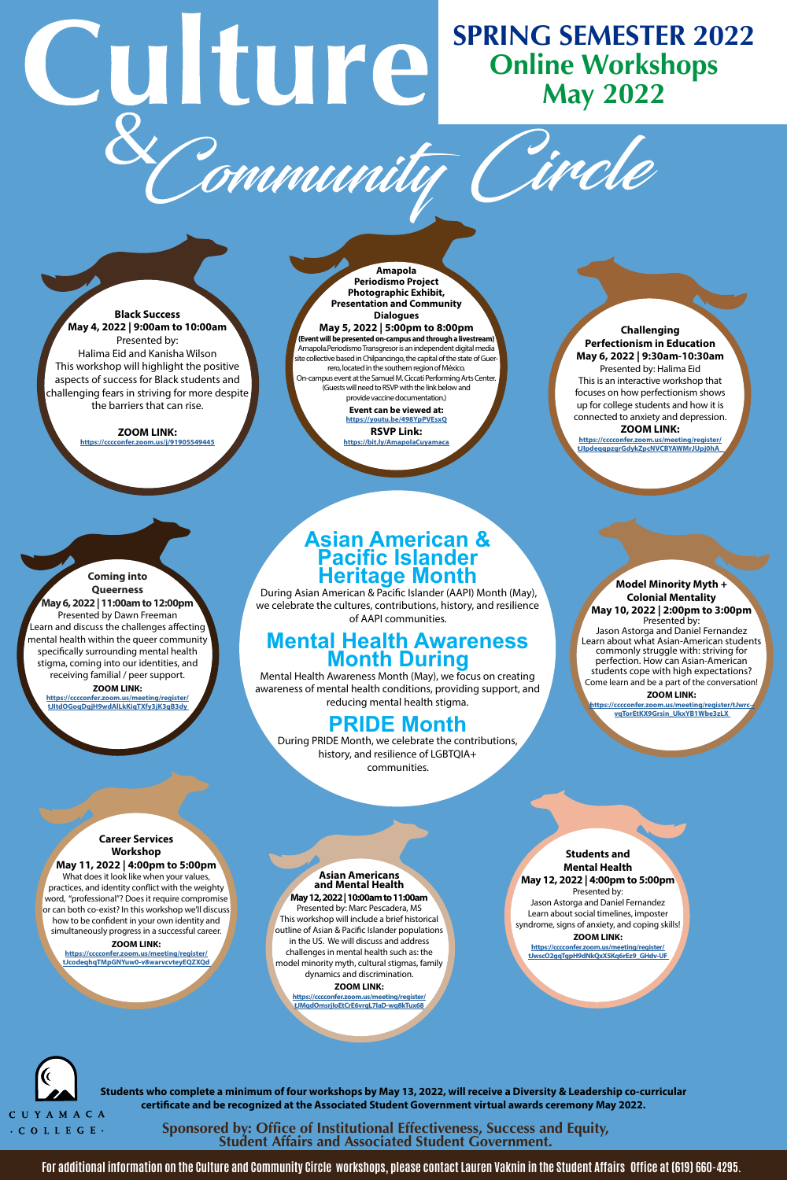**CUYAMACA**  · COLLEGE •

# **SPRING SEMESTER 2022**  Culture **Online Workshops May 2022**  Community

**Black Success May 4, 2022 | 9:00am to 10:00am**  Presented by: Halima Eid and Kanisha Wilson This workshop will highlight the positive aspects of success for Black students and challenging fears in striving for more despite the barriers that can rise.

> **ZOOM LINK: <https://cccconfer.zoom.us/j/91905549445>**

**RSVP Link: https://bit.ly/AmapolaCuyama** 

**Amapola Periodismo Project Photographic Exhibit, Presentation and Community Dialogues May 5, 2022 | 5:00pm to 8:00pm (Event will be presented on-campus and through a livestream)**  Amapola.Periodismo Transgresor is an independent digital media site collective based in Chilpancingo, the capital of the state of Guerrero, located in the southern region of México. On-campus event at the Samuel M. Ciccati Performing Arts Center. (Guests will need to RSVP with the link below and provide vaccine documentation.)

> **[Event can be viewed at:](https://youtu.be/498YpPVEsxQ)  https://youtu.be/498YpPVEsxQ**

**Challenging Perfectionism in Education May 6, 2022 | 9:30am-10:30am**  Presented by: Halima Eid This is an interactive workshop that focuses on how perfectionism shows up for college students and how it is connected to anxiety and depression. **ZOOM LINK:** 

**https://cccconfer.zoom.us/meeting/register/ [tJIpdeqqpzgrGdykZpcNVCBYAWMrJUpj0hA\\_](https://cccconfer.zoom.us/meeting/register/tJIpdeqqpzgrGdykZpcNVCBYAWMrJUpj0hA_)** 

**Coming into Queerness May 6, 2022 | 11:00am to 12:00pm**  Presented by Dawn Freeman Learn and discuss the challenges affecting $^{\prime}$ mental health within the queer community specifcally surrounding mental health stigma, coming into our identities, and [receiving familial / peer support.](https://cccconfer.zoom.us/meeting/register/tJItdOGoqDgjH9wdAlLkKiqTXfy3jK3gB3dy) 

**ZOOM LINK: https://cccconfer.zoom.us/meeting/register/ tJItdOGoqDgjH9wdAlLkKiqTXfy3jK3gB3dy** 

## **Asian American & Pacific Islander Heritage Month**

During Asian American & Pacifc Islander (AAPI) Month (May), we celebrate the cultures, contributions, history, and resilience of AAPI communities.

# **Mental Health Awareness Month During**

Mental Health Awareness Month (May), we focus on creating awareness of mental health conditions, providing support, and reducing mental health stigma.

# **PRIDE Month**

During PRIDE Month, we celebrate the contributions, history, and resilience of LGBTQIA+ communities.

#### **Model Minority Myth + Colonial Mentality May 10, 2022 | 2:00pm to 3:00pm**

Presented by: Jason Astorga and Daniel Fernandez Learn about what Asian-American students commonly struggle with: striving for perfection. How can Asian-American students cope with high expectations? Come learn and be a part of the conversation!

**ZOOM LINK: [https://cccconfer.zoom.us/meeting/register/tJwrc-](https://cccconfer.zoom.us/meeting/register/tJwrc--vqTorEtKX9Grsin_UkxYB1Wbe3zLX) vqTorEtKX9Grsin\_UkxYB1Wbe3zLX** 

#### **Career Services Workshop May 11, 2022 | 4:00pm to 5:00pm**

What does it look like when your values, practices, and identity confict with the weighty word, "professional"? Does it require compromise or can both co-exist? In this workshop we'll discuss how to be confdent in your own identity and simultaneously progress in a successful career.

#### **ZOOM LINK:**

**https://cccconfer.zoom.us/meeting/register/ [tJcodeqhqTMpGNYuw0-v8warvcvteyEQZXQd](https://cccconfer.zoom.us/meeting/register/tJcodeqhqTMpGNYuw0-v8warvcvteyEQZXQd)** 

#### **Asian Americans and Mental Health May 12, 2022 | 10:00am to 11:00am**

Presented by: Marc Pescadera, MS This workshop will include a brief historical outline of Asian & Pacifc Islander populations in the US. We will discuss and address challenges in mental health such as: the model minority myth, cultural stigmas, family dynamics and discrimination.

> **ZOOM LINK: [https://cccconfer.zoom.us/meeting/register/](https://cccconfer.zoom.us/meeting/register/tJMqdOmsrjIoEtCrE6vrgL7IaD-wq8kTux68)  tJMqdOmsrjIoEtCrE6vrgL7IaD-wq8kTux68**

#### **Students and Mental Health May 12, 2022 | 4:00pm to 5:00pm**  Presented by:

Jason Astorga and Daniel Fernandez Learn about social timelines, imposter syndrome, signs of anxiety, and coping skills!

#### **ZOOM LINK:**

**https://cccconfer.zoom.us/meeting/register/ [tJwscO2gqTgpH9dNkQxX5Kq6rEz9\\_GHdv-UF](https://cccconfer.zoom.us/meeting/register/tJwscO2gqTgpH9dNkQxX5Kq6rEz9_GHdv-UF)** 



**Students who complete a minimum of four workshops by May 13, 2022, will receive a Diversity & Leadership co-curricular certifcate and be recognized at the Associated Student Government virtual awards ceremony May 2022.** 

**Sponsored by: Office of Institutional Effectiveness, Success and Equity, Student Affairs and Associated Student Government.** 

**For additional information on the Culture and Community Circle workshops, please contact Lauren Vaknin in the Student Affairs Office at (619) 660-4295.**